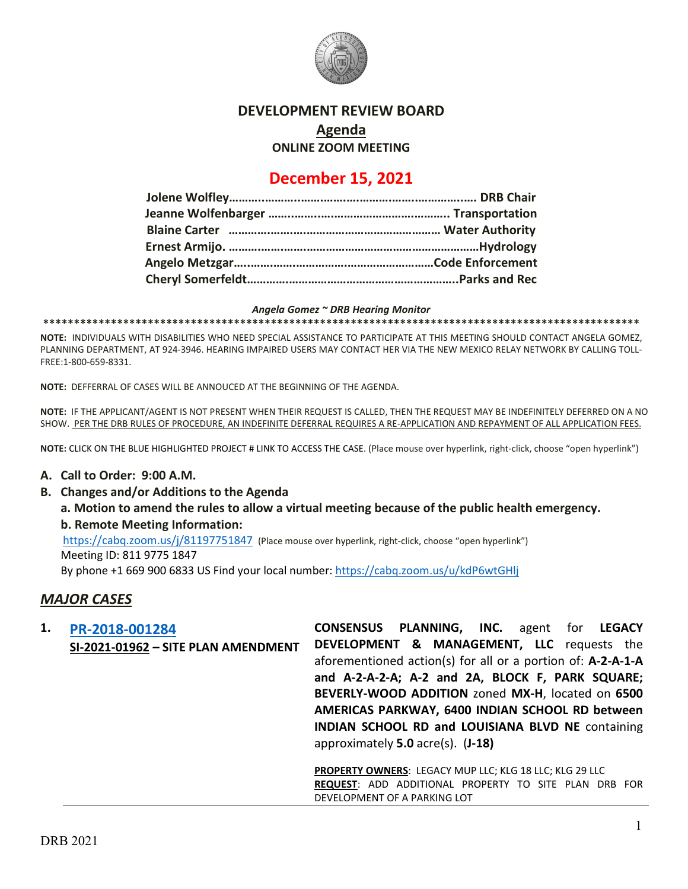

# **DEVELOPMENT REVIEW BOARD**

**Agenda**

**ONLINE ZOOM MEETING**

# **December 15, 2021**

#### *Angela Gomez ~ DRB Hearing Monitor*

**\*\*\*\*\*\*\*\*\*\*\*\*\*\*\*\*\*\*\*\*\*\*\*\*\*\*\*\*\*\*\*\*\*\*\*\*\*\*\*\*\*\*\*\*\*\*\*\*\*\*\*\*\*\*\*\*\*\*\*\*\*\*\*\*\*\*\*\*\*\*\*\*\*\*\*\*\*\*\*\*\*\*\*\*\*\*\*\*\*\*\*\*\*\*\*\*\***

**NOTE:** INDIVIDUALS WITH DISABILITIES WHO NEED SPECIAL ASSISTANCE TO PARTICIPATE AT THIS MEETING SHOULD CONTACT ANGELA GOMEZ, PLANNING DEPARTMENT, AT 924-3946. HEARING IMPAIRED USERS MAY CONTACT HER VIA THE NEW MEXICO RELAY NETWORK BY CALLING TOLL-FREE:1-800-659-8331.

**NOTE:** DEFFERRAL OF CASES WILL BE ANNOUCED AT THE BEGINNING OF THE AGENDA.

**NOTE:** IF THE APPLICANT/AGENT IS NOT PRESENT WHEN THEIR REQUEST IS CALLED, THEN THE REQUEST MAY BE INDEFINITELY DEFERRED ON A NO SHOW. PER THE DRB RULES OF PROCEDURE, AN INDEFINITE DEFERRAL REQUIRES A RE-APPLICATION AND REPAYMENT OF ALL APPLICATION FEES.

**NOTE:** CLICK ON THE BLUE HIGHLIGHTED PROJECT # LINK TO ACCESS THE CASE. (Place mouse over hyperlink, right-click, choose "open hyperlink")

### **A. Call to Order: 9:00 A.M.**

**B. Changes and/or Additions to the Agenda**

**a. Motion to amend the rules to allow a virtual meeting because of the public health emergency. b. Remote Meeting Information:** 

<https://cabq.zoom.us/j/81197751847> (Place mouse over hyperlink, right-click, choose "open hyperlink")

Meeting ID: 811 9775 1847

By phone +1 669 900 6833 US Find your local number[: https://cabq.zoom.us/u/kdP6wtGHlj](https://cabq.zoom.us/u/kdP6wtGHlj)

## *MAJOR CASES*

| 1. | PR-2018-001284                      | <b>CONSENSUS PLANNING, INC.</b> agent for LEGACY               |
|----|-------------------------------------|----------------------------------------------------------------|
|    | SI-2021-01962 - SITE PLAN AMENDMENT | <b>DEVELOPMENT &amp; MANAGEMENT, LLC</b> requests the          |
|    |                                     | aforementioned action(s) for all or a portion of: A-2-A-1-A    |
|    |                                     | and A-2-A-2-A; A-2 and 2A, BLOCK F, PARK SQUARE;               |
|    |                                     | BEVERLY-WOOD ADDITION zoned MX-H, located on 6500              |
|    |                                     | AMERICAS PARKWAY, 6400 INDIAN SCHOOL RD between                |
|    |                                     | <b>INDIAN SCHOOL RD and LOUISIANA BLVD NE containing</b>       |
|    |                                     | approximately $5.0$ acre(s). $(J-18)$                          |
|    |                                     | <b>PROPERTY OWNERS: LEGACY MUP LLC; KLG 18 LLC; KLG 29 LLC</b> |
|    |                                     | <b>REQUEST:</b> ADD ADDITIONAL PROPERTY TO SITE PLAN DRB FOR   |
|    |                                     | DEVELOPMENT OF A PARKING LOT                                   |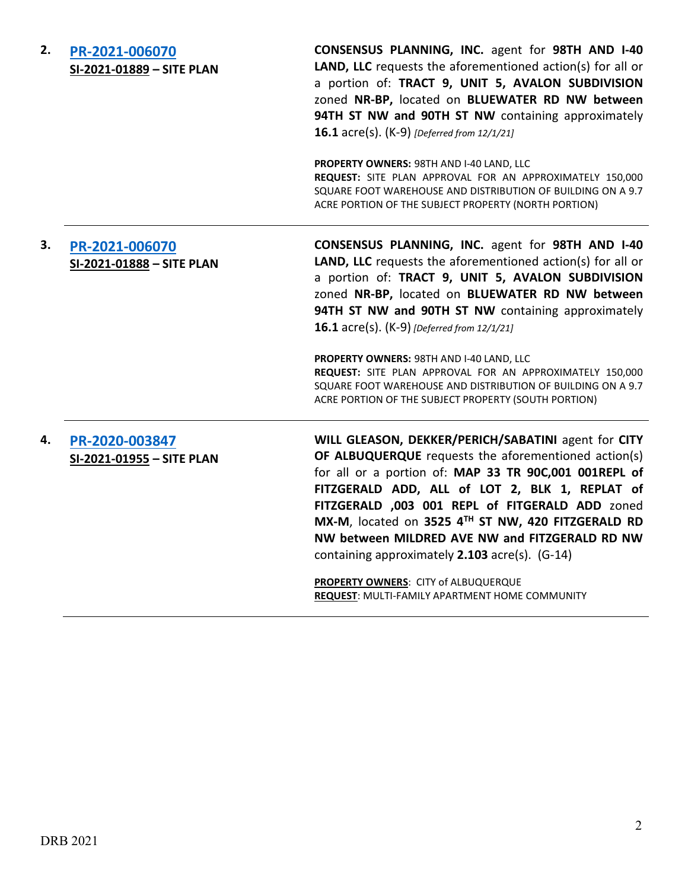| 2. | PR-2021-006070<br>SI-2021-01889 - SITE PLAN | CONSENSUS PLANNING, INC. agent for 98TH AND I-40<br>LAND, LLC requests the aforementioned action(s) for all or<br>a portion of: TRACT 9, UNIT 5, AVALON SUBDIVISION<br>zoned NR-BP, located on BLUEWATER RD NW between<br>94TH ST NW and 90TH ST NW containing approximately<br><b>16.1</b> acre(s). (K-9) [Deferred from 12/1/21]<br>PROPERTY OWNERS: 98TH AND I-40 LAND, LLC<br>REQUEST: SITE PLAN APPROVAL FOR AN APPROXIMATELY 150,000<br>SQUARE FOOT WAREHOUSE AND DISTRIBUTION OF BUILDING ON A 9.7<br>ACRE PORTION OF THE SUBJECT PROPERTY (NORTH PORTION) |
|----|---------------------------------------------|-------------------------------------------------------------------------------------------------------------------------------------------------------------------------------------------------------------------------------------------------------------------------------------------------------------------------------------------------------------------------------------------------------------------------------------------------------------------------------------------------------------------------------------------------------------------|
| 3. | PR-2021-006070<br>SI-2021-01888 - SITE PLAN | CONSENSUS PLANNING, INC. agent for 98TH AND I-40<br>LAND, LLC requests the aforementioned action(s) for all or<br>a portion of: TRACT 9, UNIT 5, AVALON SUBDIVISION<br>zoned NR-BP, located on BLUEWATER RD NW between<br>94TH ST NW and 90TH ST NW containing approximately<br><b>16.1</b> acre(s). (K-9) [Deferred from 12/1/21]<br>PROPERTY OWNERS: 98TH AND I-40 LAND, LLC<br>REQUEST: SITE PLAN APPROVAL FOR AN APPROXIMATELY 150,000<br>SQUARE FOOT WAREHOUSE AND DISTRIBUTION OF BUILDING ON A 9.7<br>ACRE PORTION OF THE SUBJECT PROPERTY (SOUTH PORTION) |
| 4. | PR-2020-003847<br>SI-2021-01955 - SITE PLAN | WILL GLEASON, DEKKER/PERICH/SABATINI agent for CITY<br>OF ALBUQUERQUE requests the aforementioned action(s)<br>for all or a portion of: MAP 33 TR 90C,001 001REPL of<br>FITZGERALD ADD, ALL of LOT 2, BLK 1, REPLAT of<br>FITZGERALD ,003 001 REPL of FITGERALD ADD zoned<br>MX-M, located on 3525 4TH ST NW, 420 FITZGERALD RD<br>NW between MILDRED AVE NW and FITZGERALD RD NW<br>containing approximately 2.103 acre(s). (G-14)<br>PROPERTY OWNERS: CITY of ALBUQUERQUE                                                                                       |

**REQUEST**: MULTI-FAMILY APARTMENT HOME COMMUNITY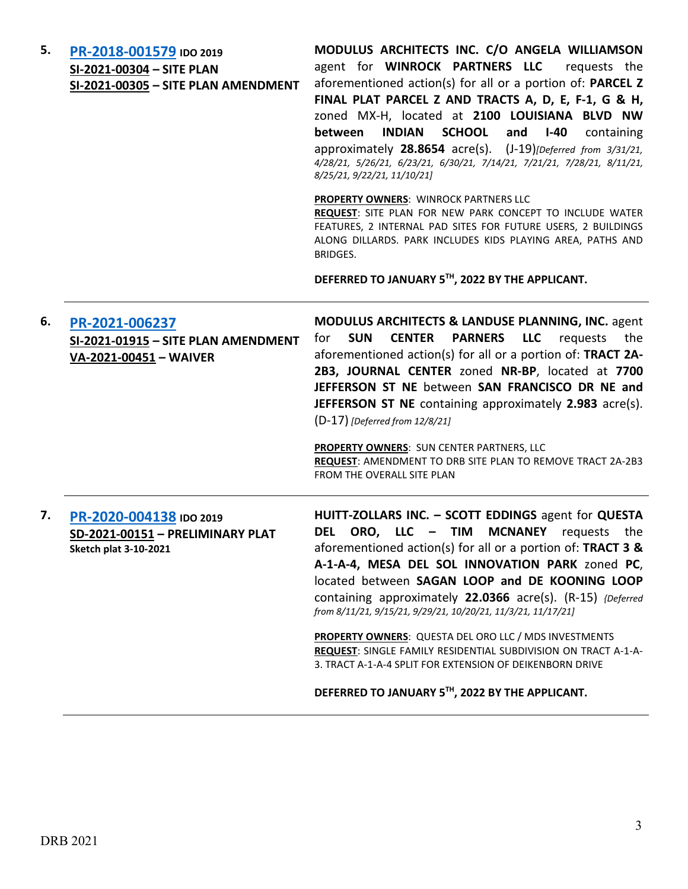| 5. | PR-2018-001579 IDO 2019<br>SI-2021-00304 - SITE PLAN<br>SI-2021-00305 - SITE PLAN AMENDMENT | MODULUS ARCHITECTS INC. C/O ANGELA WILLIAMSON<br>agent for WINROCK PARTNERS LLC requests the<br>aforementioned action(s) for all or a portion of: PARCEL Z<br>FINAL PLAT PARCEL Z AND TRACTS A, D, E, F-1, G & H,<br>zoned MX-H, located at 2100 LOUISIANA BLVD NW<br><b>INDIAN</b><br><b>SCHOOL</b><br><b>between</b><br>and<br>$I-40$<br>containing<br>approximately 28.8654 acre(s). (J-19)[Deferred from 3/31/21,<br>4/28/21, 5/26/21, 6/23/21, 6/30/21, 7/14/21, 7/21/21, 7/28/21, 8/11/21,<br>8/25/21, 9/22/21, 11/10/21]                                                         |
|----|---------------------------------------------------------------------------------------------|-----------------------------------------------------------------------------------------------------------------------------------------------------------------------------------------------------------------------------------------------------------------------------------------------------------------------------------------------------------------------------------------------------------------------------------------------------------------------------------------------------------------------------------------------------------------------------------------|
|    |                                                                                             | PROPERTY OWNERS: WINROCK PARTNERS LLC<br>REQUEST: SITE PLAN FOR NEW PARK CONCEPT TO INCLUDE WATER<br>FEATURES, 2 INTERNAL PAD SITES FOR FUTURE USERS, 2 BUILDINGS<br>ALONG DILLARDS. PARK INCLUDES KIDS PLAYING AREA, PATHS AND<br>BRIDGES.<br>DEFERRED TO JANUARY 5TH, 2022 BY THE APPLICANT.                                                                                                                                                                                                                                                                                          |
|    |                                                                                             |                                                                                                                                                                                                                                                                                                                                                                                                                                                                                                                                                                                         |
| 6. | PR-2021-006237<br>SI-2021-01915 - SITE PLAN AMENDMENT<br>VA-2021-00451 - WAIVER             | <b>MODULUS ARCHITECTS &amp; LANDUSE PLANNING, INC. agent</b><br><b>PARNERS</b><br><b>SUN</b><br><b>CENTER</b><br><b>LLC</b><br>for<br>requests<br>the<br>aforementioned action(s) for all or a portion of: TRACT 2A-<br>2B3, JOURNAL CENTER zoned NR-BP, located at 7700<br>JEFFERSON ST NE between SAN FRANCISCO DR NE and<br>JEFFERSON ST NE containing approximately 2.983 acre(s).<br>(D-17) [Deferred from 12/8/21]<br><b>PROPERTY OWNERS: SUN CENTER PARTNERS, LLC</b>                                                                                                            |
|    |                                                                                             | REQUEST: AMENDMENT TO DRB SITE PLAN TO REMOVE TRACT 2A-2B3<br>FROM THE OVERALL SITE PLAN                                                                                                                                                                                                                                                                                                                                                                                                                                                                                                |
| 7. | PR-2020-004138 IDO 2019<br>SD-2021-00151 - PRELIMINARY PLAT<br><b>Sketch plat 3-10-2021</b> | HUITT-ZOLLARS INC. - SCOTT EDDINGS agent for QUESTA<br>DEL ORO, LLC - TIM MCNANEY requests the<br>aforementioned action(s) for all or a portion of: TRACT 3 &<br>A-1-A-4, MESA DEL SOL INNOVATION PARK zoned PC,<br>located between SAGAN LOOP and DE KOONING LOOP<br>containing approximately 22.0366 acre(s). (R-15) {Deferred<br>from 8/11/21, 9/15/21, 9/29/21, 10/20/21, 11/3/21, 11/17/21]<br>PROPERTY OWNERS: QUESTA DEL ORO LLC / MDS INVESTMENTS<br>REQUEST: SINGLE FAMILY RESIDENTIAL SUBDIVISION ON TRACT A-1-A-<br>3. TRACT A-1-A-4 SPLIT FOR EXTENSION OF DEIKENBORN DRIVE |

**DEFERRED TO JANUARY 5TH, 2022 BY THE APPLICANT.**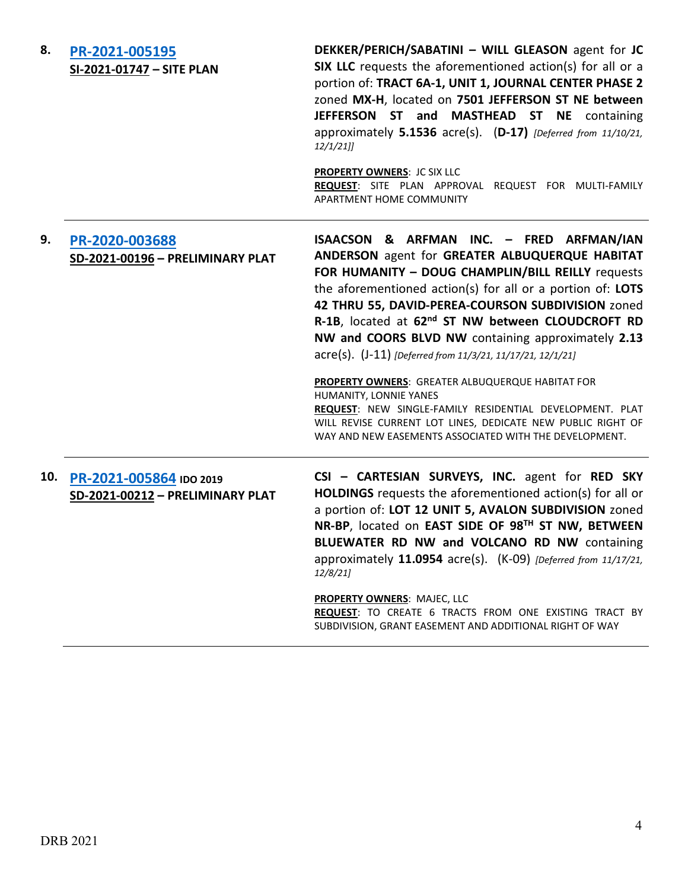| 8.  | PR-2021-005195<br>SI-2021-01747 - SITE PLAN                 | DEKKER/PERICH/SABATINI - WILL GLEASON agent for JC<br>SIX LLC requests the aforementioned action(s) for all or a<br>portion of: TRACT 6A-1, UNIT 1, JOURNAL CENTER PHASE 2<br>zoned MX-H, located on 7501 JEFFERSON ST NE between<br>JEFFERSON ST and MASTHEAD ST NE containing<br>approximately 5.1536 acre(s). (D-17) [Deferred from 11/10/21,<br>$12/1/21$ ]<br><b>PROPERTY OWNERS: JC SIX LLC</b><br>REQUEST: SITE PLAN APPROVAL REQUEST FOR MULTI-FAMILY<br><b>APARTMENT HOME COMMUNITY</b>                                                                                                                                                                                                                           |
|-----|-------------------------------------------------------------|----------------------------------------------------------------------------------------------------------------------------------------------------------------------------------------------------------------------------------------------------------------------------------------------------------------------------------------------------------------------------------------------------------------------------------------------------------------------------------------------------------------------------------------------------------------------------------------------------------------------------------------------------------------------------------------------------------------------------|
| 9.  | PR-2020-003688<br>SD-2021-00196 - PRELIMINARY PLAT          | ISAACSON & ARFMAN INC. - FRED ARFMAN/IAN<br>ANDERSON agent for GREATER ALBUQUERQUE HABITAT<br>FOR HUMANITY - DOUG CHAMPLIN/BILL REILLY requests<br>the aforementioned action(s) for all or a portion of: LOTS<br>42 THRU 55, DAVID-PEREA-COURSON SUBDIVISION zoned<br>R-1B, located at 62 <sup>nd</sup> ST NW between CLOUDCROFT RD<br>NW and COORS BLVD NW containing approximately 2.13<br>acre(s). (J-11) [Deferred from 11/3/21, 11/17/21, 12/1/21]<br>PROPERTY OWNERS: GREATER ALBUQUERQUE HABITAT FOR<br>HUMANITY, LONNIE YANES<br>REQUEST: NEW SINGLE-FAMILY RESIDENTIAL DEVELOPMENT. PLAT<br>WILL REVISE CURRENT LOT LINES, DEDICATE NEW PUBLIC RIGHT OF<br>WAY AND NEW EASEMENTS ASSOCIATED WITH THE DEVELOPMENT. |
| 10. | PR-2021-005864 IDO 2019<br>SD-2021-00212 - PRELIMINARY PLAT | CSI - CARTESIAN SURVEYS, INC. agent for RED SKY<br>HOLDINGS requests the aforementioned action(s) for all or<br>a portion of: LOT 12 UNIT 5, AVALON SUBDIVISION zoned<br>NR-BP, located on EAST SIDE OF 98TH ST NW, BETWEEN<br>BLUEWATER RD NW and VOLCANO RD NW containing<br>approximately 11.0954 acre(s). (K-09) [Deferred from 11/17/21,<br>12/8/21<br><b>PROPERTY OWNERS: MAJEC, LLC</b><br>REQUEST: TO CREATE 6 TRACTS FROM ONE EXISTING TRACT BY<br>SUBDIVISION, GRANT EASEMENT AND ADDITIONAL RIGHT OF WAY                                                                                                                                                                                                        |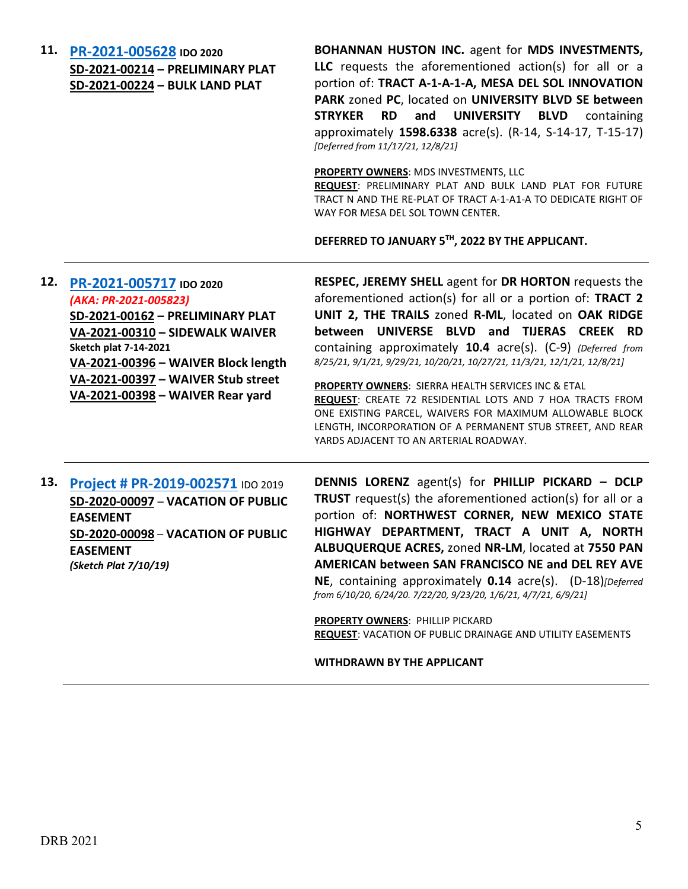**11. [PR-2021-005628](http://data.cabq.gov/government/planning/DRB/PR-2021-005628/DRB%20Submittals/) IDO 2020 SD-2021-00214 – PRELIMINARY PLAT SD-2021-00224 – BULK LAND PLAT**

**BOHANNAN HUSTON INC.** agent for **MDS INVESTMENTS, LLC** requests the aforementioned action(s) for all or a portion of: **TRACT A-1-A-1-A, MESA DEL SOL INNOVATION PARK** zoned **PC**, located on **UNIVERSITY BLVD SE between STRYKER RD and UNIVERSITY BLVD** containing approximately **1598.6338** acre(s). (R-14, S-14-17, T-15-17) *[Deferred from 11/17/21, 12/8/21]*

**PROPERTY OWNERS**: MDS INVESTMENTS, LLC

**REQUEST**: PRELIMINARY PLAT AND BULK LAND PLAT FOR FUTURE TRACT N AND THE RE-PLAT OF TRACT A-1-A1-A TO DEDICATE RIGHT OF WAY FOR MESA DEL SOL TOWN CENTER.

**DEFERRED TO JANUARY 5TH, 2022 BY THE APPLICANT.**

### **12. [PR-2021-005717](http://data.cabq.gov/government/planning/DRB/PR-2021-005717/DRB%20Submittals/) IDO 2020** *(AKA: PR-2021-005823)*

**SD-2021-00162 – PRELIMINARY PLAT VA-2021-00310 – SIDEWALK WAIVER Sketch plat 7-14-2021 VA-2021-00396 – WAIVER Block length VA-2021-00397 – WAIVER Stub street VA-2021-00398 – WAIVER Rear yard**

**RESPEC, JEREMY SHELL** agent for **DR HORTON** requests the aforementioned action(s) for all or a portion of: **TRACT 2 UNIT 2, THE TRAILS** zoned **R-ML**, located on **OAK RIDGE between UNIVERSE BLVD and TIJERAS CREEK RD** containing approximately **10.4** acre(s). (C-9) *(Deferred from 8/25/21, 9/1/21, 9/29/21, 10/20/21, 10/27/21, 11/3/21, 12/1/21, 12/8/21]*

**PROPERTY OWNERS**: SIERRA HEALTH SERVICES INC & ETAL **REQUEST**: CREATE 72 RESIDENTIAL LOTS AND 7 HOA TRACTS FROM ONE EXISTING PARCEL, WAIVERS FOR MAXIMUM ALLOWABLE BLOCK LENGTH, INCORPORATION OF A PERMANENT STUB STREET, AND REAR YARDS ADJACENT TO AN ARTERIAL ROADWAY.

**13. [Project # PR-2019-002571](http://data.cabq.gov/government/planning/DRB/PR-2019-002571/DRB%20Submittals/)** IDO 2019 **SD-2020-00097** – **VACATION OF PUBLIC EASEMENT SD-2020-00098** – **VACATION OF PUBLIC EASEMENT** *(Sketch Plat 7/10/19)*

**DENNIS LORENZ** agent(s) for **PHILLIP PICKARD – DCLP TRUST** request(s) the aforementioned action(s) for all or a portion of: **NORTHWEST CORNER, NEW MEXICO STATE HIGHWAY DEPARTMENT, TRACT A UNIT A, NORTH ALBUQUERQUE ACRES,** zoned **NR-LM**, located at **7550 PAN AMERICAN between SAN FRANCISCO NE and DEL REY AVE NE**, containing approximately **0.14** acre(s). (D-18)*[Deferred from 6/10/20, 6/24/20. 7/22/20, 9/23/20, 1/6/21, 4/7/21, 6/9/21]*

**PROPERTY OWNERS**: PHILLIP PICKARD **REQUEST**: VACATION OF PUBLIC DRAINAGE AND UTILITY EASEMENTS

#### **WITHDRAWN BY THE APPLICANT**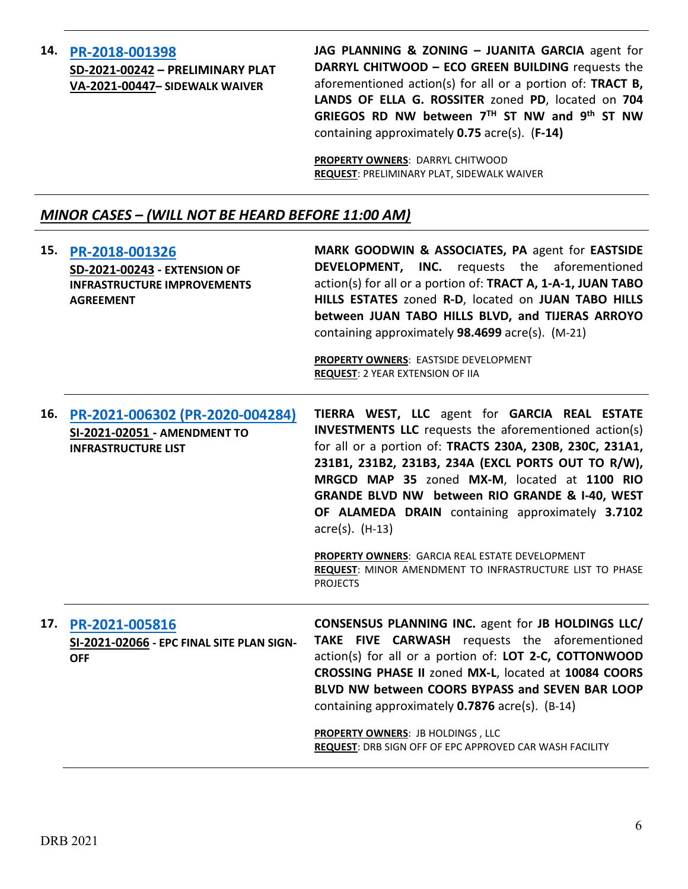# **14. [PR-2018-001398](http://data.cabq.gov/government/planning/DRB/PR-2018-001398/DRB%20Submittals/PR-2018-001398_SD-2021-00242_DEC%2015,%202021/) SD-2021-00242 – PRELIMINARY PLAT VA-2021-00447– SIDEWALK WAIVER**

**JAG PLANNING & ZONING – JUANITA GARCIA** agent for **DARRYL CHITWOOD – ECO GREEN BUILDING** requests the aforementioned action(s) for all or a portion of: **TRACT B, LANDS OF ELLA G. ROSSITER** zoned **PD**, located on **704 GRIEGOS RD NW between 7TH ST NW and 9th ST NW** containing approximately **0.75** acre(s). (**F-14)**

**PROPERTY OWNERS**: DARRYL CHITWOOD **REQUEST**: PRELIMINARY PLAT, SIDEWALK WAIVER

# *MINOR CASES – (WILL NOT BE HEARD BEFORE 11:00 AM)*

| 15. | PR-2018-001326<br><b>SD-2021-00243 - EXTENSION OF</b><br><b>INFRASTRUCTURE IMPROVEMENTS</b><br><b>AGREEMENT</b> | MARK GOODWIN & ASSOCIATES, PA agent for EASTSIDE<br><b>DEVELOPMENT, INC.</b> requests the aforementioned<br>action(s) for all or a portion of: TRACT A, 1-A-1, JUAN TABO<br>HILLS ESTATES zoned R-D, located on JUAN TABO HILLS<br>between JUAN TABO HILLS BLVD, and TIJERAS ARROYO<br>containing approximately 98.4699 acre(s). (M-21)<br>PROPERTY OWNERS: EASTSIDE DEVELOPMENT<br><b>REQUEST: 2 YEAR EXTENSION OF IIA</b>                                                                                                                      |
|-----|-----------------------------------------------------------------------------------------------------------------|--------------------------------------------------------------------------------------------------------------------------------------------------------------------------------------------------------------------------------------------------------------------------------------------------------------------------------------------------------------------------------------------------------------------------------------------------------------------------------------------------------------------------------------------------|
| 16. | PR-2021-006302 (PR-2020-004284)<br>SI-2021-02051 - AMENDMENT TO<br><b>INFRASTRUCTURE LIST</b>                   | TIERRA WEST, LLC agent for GARCIA REAL ESTATE<br><b>INVESTMENTS LLC</b> requests the aforementioned action(s)<br>for all or a portion of: TRACTS 230A, 230B, 230C, 231A1,<br>231B1, 231B2, 231B3, 234A (EXCL PORTS OUT TO R/W),<br>MRGCD MAP 35 zoned MX-M, located at 1100 RIO<br>GRANDE BLVD NW between RIO GRANDE & I-40, WEST<br>OF ALAMEDA DRAIN containing approximately 3.7102<br>$\arccos(5)$ . (H-13)<br>PROPERTY OWNERS: GARCIA REAL ESTATE DEVELOPMENT<br>REQUEST: MINOR AMENDMENT TO INFRASTRUCTURE LIST TO PHASE<br><b>PROJECTS</b> |
| 17. | PR-2021-005816<br>SI-2021-02066 - EPC FINAL SITE PLAN SIGN-<br><b>OFF</b>                                       | <b>CONSENSUS PLANNING INC. agent for JB HOLDINGS LLC/</b><br>TAKE FIVE CARWASH requests the aforementioned<br>action(s) for all or a portion of: LOT 2-C, COTTONWOOD<br>CROSSING PHASE II zoned MX-L, located at 10084 COORS<br>BLVD NW between COORS BYPASS and SEVEN BAR LOOP<br>containing approximately 0.7876 acre(s). (B-14)<br><b>PROPERTY OWNERS: JB HOLDINGS, LLC</b><br>REQUEST: DRB SIGN OFF OF EPC APPROVED CAR WASH FACILITY                                                                                                        |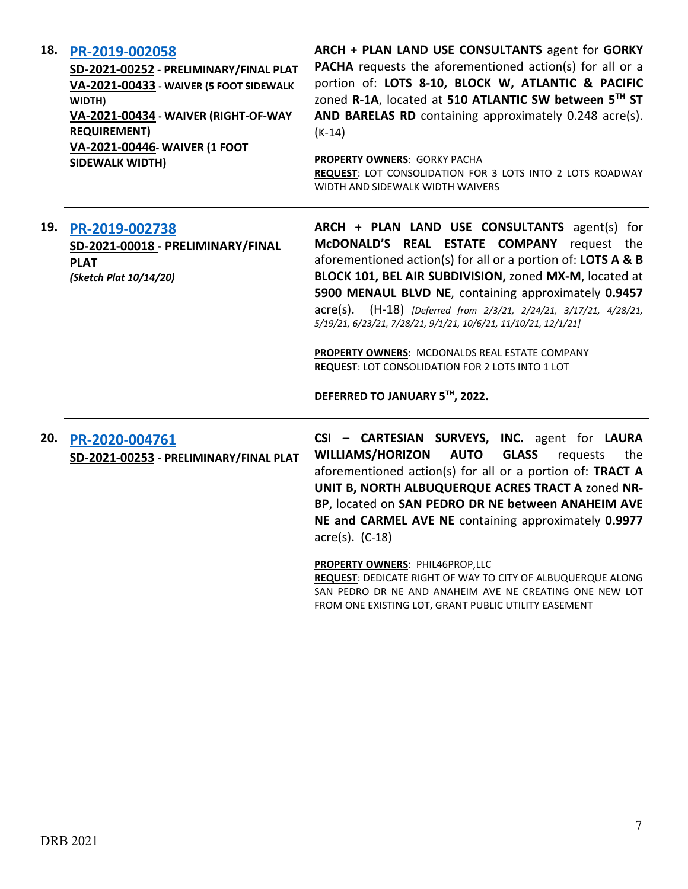### **18. [PR-2019-002058](http://data.cabq.gov/government/planning/DRB/PR-2019-002058/DRB%20Submittals/PR%202019-002058%20(SD-2021-00252)_Dec_15_2021%20(PP,%20Waiver%20x3)/)**

**SD-2021-00252 - PRELIMINARY/FINAL PLAT VA-2021-00433 - WAIVER (5 FOOT SIDEWALK WIDTH) VA-2021-00434 - WAIVER (RIGHT-OF-WAY REQUIREMENT) VA-2021-00446- WAIVER (1 FOOT SIDEWALK WIDTH)**

**ARCH + PLAN LAND USE CONSULTANTS** agent for **GORKY PACHA** requests the aforementioned action(s) for all or a portion of: **LOTS 8-10, BLOCK W, ATLANTIC & PACIFIC** zoned **R-1A**, located at **510 ATLANTIC SW between 5TH ST AND BARELAS RD** containing approximately 0.248 acre(s). (K-14)

**PROPERTY OWNERS**: GORKY PACHA **REQUEST**: LOT CONSOLIDATION FOR 3 LOTS INTO 2 LOTS ROADWAY WIDTH AND SIDEWALK WIDTH WAIVERS

| 19. | PR-2019-002738<br>SD-2021-00018 - PRELIMINARY/FINAL<br><b>PLAT</b><br>(Sketch Plat 10/14/20) | ARCH + PLAN LAND USE CONSULTANTS agent(s) for<br>McDONALD'S REAL ESTATE COMPANY request the<br>aforementioned action(s) for all or a portion of: LOTS A & B<br>BLOCK 101, BEL AIR SUBDIVISION, zoned MX-M, located at<br>5900 MENAUL BLVD NE, containing approximately 0.9457<br>acre(s). (H-18) [Deferred from 2/3/21, 2/24/21, 3/17/21, 4/28/21,<br>5/19/21, 6/23/21, 7/28/21, 9/1/21, 10/6/21, 11/10/21, 12/1/21]<br>PROPERTY OWNERS: MCDONALDS REAL ESTATE COMPANY<br><b>REQUEST: LOT CONSOLIDATION FOR 2 LOTS INTO 1 LOT</b><br>DEFERRED TO JANUARY 5TH, 2022. |
|-----|----------------------------------------------------------------------------------------------|---------------------------------------------------------------------------------------------------------------------------------------------------------------------------------------------------------------------------------------------------------------------------------------------------------------------------------------------------------------------------------------------------------------------------------------------------------------------------------------------------------------------------------------------------------------------|
| 20. | PR-2020-004761<br>SD-2021-00253 - PRELIMINARY/FINAL PLAT                                     | CSI - CARTESIAN SURVEYS, INC. agent for LAURA<br><b>WILLIAMS/HORIZON</b><br><b>AUTO</b><br><b>GLASS</b><br>requests<br>the<br>aforementioned action(s) for all or a portion of: TRACT A<br>UNIT B, NORTH ALBUQUERQUE ACRES TRACT A zoned NR-<br>BP, located on SAN PEDRO DR NE between ANAHEIM AVE<br>NE and CARMEL AVE NE containing approximately 0.9977<br>$\arccos 0$ . (C-18)<br>PROPERTY OWNERS: PHIL46PROP,LLC<br>REQUEST: DEDICATE RIGHT OF WAY TO CITY OF ALBUQUERQUE ALONG<br>SAN PEDRO DR NE AND ANAHEIM AVE NE CREATING ONE NEW LOT                     |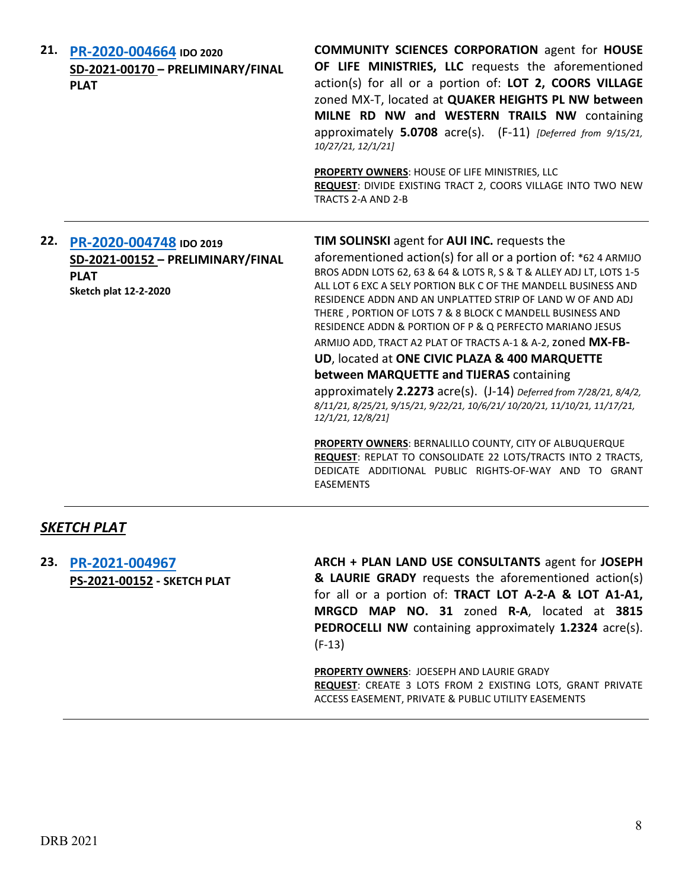| 21. PR-2020-004664 IDO 2020<br>SD-2021-00170 - PRELIMINARY/FINAL<br><b>PLAT</b>                                 | <b>COMMUNITY SCIENCES CORPORATION agent for HOUSE</b><br>OF LIFE MINISTRIES, LLC requests the aforementioned<br>action(s) for all or a portion of: LOT 2, COORS VILLAGE<br>zoned MX-T, located at QUAKER HEIGHTS PL NW between<br>MILNE RD NW and WESTERN TRAILS NW containing<br>approximately 5.0708 acre(s). (F-11) [Deferred from 9/15/21,<br>10/27/21, 12/1/21]<br>PROPERTY OWNERS: HOUSE OF LIFE MINISTRIES, LLC<br>REQUEST: DIVIDE EXISTING TRACT 2, COORS VILLAGE INTO TWO NEW<br>TRACTS 2-A AND 2-B                                                                                                                                                                                                                                                                                                                                                                                                                                                                           |
|-----------------------------------------------------------------------------------------------------------------|----------------------------------------------------------------------------------------------------------------------------------------------------------------------------------------------------------------------------------------------------------------------------------------------------------------------------------------------------------------------------------------------------------------------------------------------------------------------------------------------------------------------------------------------------------------------------------------------------------------------------------------------------------------------------------------------------------------------------------------------------------------------------------------------------------------------------------------------------------------------------------------------------------------------------------------------------------------------------------------|
| 22. PR-2020-004748 IDO 2019<br>SD-2021-00152 - PRELIMINARY/FINAL<br><b>PLAT</b><br><b>Sketch plat 12-2-2020</b> | <b>TIM SOLINSKI</b> agent for <b>AUI INC.</b> requests the<br>aforementioned action(s) for all or a portion of: *62 4 ARMIJO<br>BROS ADDN LOTS 62, 63 & 64 & LOTS R, S & T & ALLEY ADJ LT, LOTS 1-5<br>ALL LOT 6 EXC A SELY PORTION BLK C OF THE MANDELL BUSINESS AND<br>RESIDENCE ADDN AND AN UNPLATTED STRIP OF LAND W OF AND ADJ<br>THERE, PORTION OF LOTS 7 & 8 BLOCK C MANDELL BUSINESS AND<br>RESIDENCE ADDN & PORTION OF P & Q PERFECTO MARIANO JESUS<br>ARMIJO ADD, TRACT A2 PLAT OF TRACTS A-1 & A-2, zoned MX-FB-<br>UD, located at ONE CIVIC PLAZA & 400 MARQUETTE<br>between MARQUETTE and TIJERAS containing<br>approximately 2.2273 acre(s). (J-14) Deferred from 7/28/21, 8/4/2,<br>8/11/21, 8/25/21, 9/15/21, 9/22/21, 10/6/21/ 10/20/21, 11/10/21, 11/17/21,<br>12/1/21, 12/8/21]<br>PROPERTY OWNERS: BERNALILLO COUNTY, CITY OF ALBUQUERQUE<br>REQUEST: REPLAT TO CONSOLIDATE 22 LOTS/TRACTS INTO 2 TRACTS,<br>DEDICATE ADDITIONAL PUBLIC RIGHTS-OF-WAY AND TO GRANT |

# *SKETCH PLAT*

**23. [PR-2021-004967](http://data.cabq.gov/government/planning/DRB/PR-2021-004967/DRB%20Submittals/PR%202021-004967%20(PS-2021-00152)_Dec_15_2021%20(Sketch)/Application/PR%202021-004967%20-%20SKETCH%20PLAT3%20(1).PDF) PS-2021-00152 - SKETCH PLAT** **ARCH + PLAN LAND USE CONSULTANTS** agent for **JOSEPH & LAURIE GRADY** requests the aforementioned action(s) for all or a portion of: **TRACT LOT A-2-A & LOT A1-A1, MRGCD MAP NO. 31** zoned **R-A**, located at **3815 PEDROCELLI NW** containing approximately **1.2324** acre(s). (F-13)

**PROPERTY OWNERS**: JOESEPH AND LAURIE GRADY **REQUEST**: CREATE 3 LOTS FROM 2 EXISTING LOTS, GRANT PRIVATE ACCESS EASEMENT, PRIVATE & PUBLIC UTILITY EASEMENTS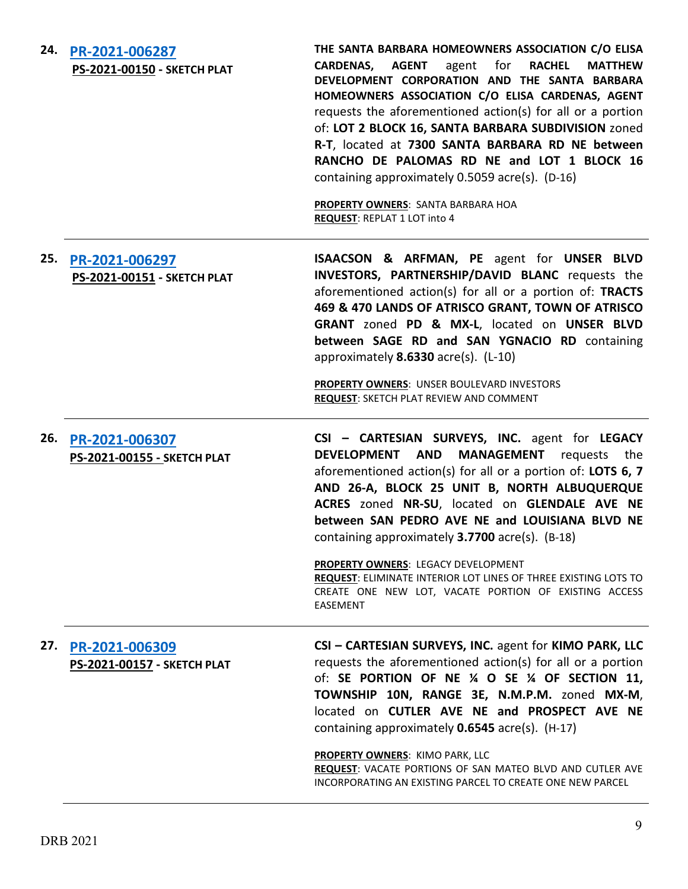| 24. | PR-2021-006287<br>PS-2021-00150 - SKETCH PLAT | THE SANTA BARBARA HOMEOWNERS ASSOCIATION C/O ELISA<br>agent for<br><b>AGENT</b><br><b>RACHEL</b><br><b>MATTHEW</b><br><b>CARDENAS,</b><br>DEVELOPMENT CORPORATION AND THE SANTA BARBARA<br>HOMEOWNERS ASSOCIATION C/O ELISA CARDENAS, AGENT<br>requests the aforementioned action(s) for all or a portion<br>of: LOT 2 BLOCK 16, SANTA BARBARA SUBDIVISION zoned<br>R-T, located at 7300 SANTA BARBARA RD NE between<br>RANCHO DE PALOMAS RD NE and LOT 1 BLOCK 16<br>containing approximately 0.5059 acre(s). (D-16)<br>PROPERTY OWNERS: SANTA BARBARA HOA<br><b>REQUEST: REPLAT 1 LOT into 4</b> |
|-----|-----------------------------------------------|----------------------------------------------------------------------------------------------------------------------------------------------------------------------------------------------------------------------------------------------------------------------------------------------------------------------------------------------------------------------------------------------------------------------------------------------------------------------------------------------------------------------------------------------------------------------------------------------------|
| 25. | PR-2021-006297<br>PS-2021-00151 - SKETCH PLAT | ISAACSON & ARFMAN, PE agent for UNSER BLVD<br>INVESTORS, PARTNERSHIP/DAVID BLANC requests the<br>aforementioned action(s) for all or a portion of: TRACTS<br>469 & 470 LANDS OF ATRISCO GRANT, TOWN OF ATRISCO<br>GRANT zoned PD & MX-L, located on UNSER BLVD<br>between SAGE RD and SAN YGNACIO RD containing<br>approximately 8.6330 acre(s). (L-10)<br><b>PROPERTY OWNERS: UNSER BOULEVARD INVESTORS</b>                                                                                                                                                                                       |
|     |                                               | <b>REQUEST: SKETCH PLAT REVIEW AND COMMENT</b>                                                                                                                                                                                                                                                                                                                                                                                                                                                                                                                                                     |
| 26. | PR-2021-006307<br>PS-2021-00155 - SKETCH PLAT | CSI - CARTESIAN SURVEYS, INC. agent for LEGACY<br>DEVELOPMENT AND<br><b>MANAGEMENT</b><br>requests the<br>aforementioned action(s) for all or a portion of: LOTS 6, 7<br>AND 26-A, BLOCK 25 UNIT B, NORTH ALBUQUERQUE<br>ACRES zoned NR-SU, located on GLENDALE AVE NE<br>between SAN PEDRO AVE NE and LOUISIANA BLVD NE<br>containing approximately 3.7700 acre(s). (B-18)<br>PROPERTY OWNERS: LEGACY DEVELOPMENT<br><b>REQUEST: ELIMINATE INTERIOR LOT LINES OF THREE EXISTING LOTS TO</b><br>CREATE ONE NEW LOT, VACATE PORTION OF EXISTING ACCESS<br>EASEMENT                                  |
| 27. | PR-2021-006309<br>PS-2021-00157 - SKETCH PLAT | CSI - CARTESIAN SURVEYS, INC. agent for KIMO PARK, LLC<br>requests the aforementioned action(s) for all or a portion<br>of: SE PORTION OF NE 1/4 O SE 1/4 OF SECTION 11,<br>TOWNSHIP 10N, RANGE 3E, N.M.P.M. zoned MX-M,<br>located on CUTLER AVE NE and PROSPECT AVE NE<br>containing approximately 0.6545 acre(s). (H-17)<br>PROPERTY OWNERS: KIMO PARK, LLC                                                                                                                                                                                                                                     |
|     |                                               | REQUEST: VACATE PORTIONS OF SAN MATEO BLVD AND CUTLER AVE<br>INCORPORATING AN EXISTING PARCEL TO CREATE ONE NEW PARCEL                                                                                                                                                                                                                                                                                                                                                                                                                                                                             |